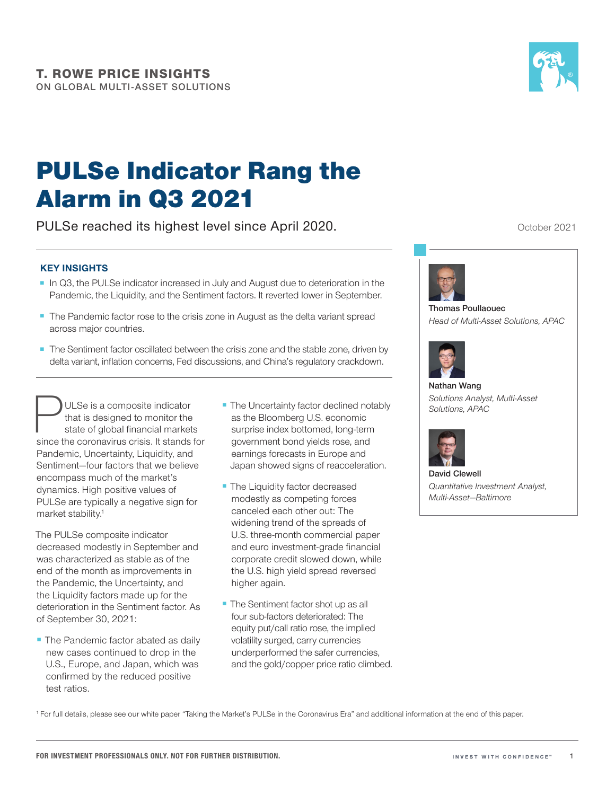

# PULSe Indicator Rang the Alarm in Q3 2021

PULSe reached its highest level since April 2020.

#### **KEY INSIGHTS**

- In Q3, the PULSe indicator increased in July and August due to deterioration in the Pandemic, the Liquidity, and the Sentiment factors. It reverted lower in September.
- The Pandemic factor rose to the crisis zone in August as the delta variant spread across major countries.
- The Sentiment factor oscillated between the crisis zone and the stable zone, driven by delta variant, inflation concerns, Fed discussions, and China's regulatory crackdown.

**PULSe is a composite indicator**<br>that is designed to monitor the<br>state of global financial market<br>since the coronavirus crisis. It stands that is designed to monitor the state of global financial markets since the coronavirus crisis. It stands for Pandemic, Uncertainty, Liquidity, and Sentiment—four factors that we believe encompass much of the market's dynamics. High positive values of PULSe are typically a negative sign for market stability.<sup>1</sup>

The PULSe composite indicator decreased modestly in September and was characterized as stable as of the end of the month as improvements in the Pandemic, the Uncertainty, and the Liquidity factors made up for the deterioration in the Sentiment factor. As of September 30, 2021:

■ The Pandemic factor abated as daily new cases continued to drop in the U.S., Europe, and Japan, which was confirmed by the reduced positive test ratios.

- The Uncertainty factor declined notably as the Bloomberg U.S. economic surprise index bottomed, long-term government bond yields rose, and earnings forecasts in Europe and Japan showed signs of reacceleration.
- The Liquidity factor decreased modestly as competing forces canceled each other out: The widening trend of the spreads of U.S. three-month commercial paper and euro investment-grade financial corporate credit slowed down, while the U.S. high yield spread reversed higher again.
- The Sentiment factor shot up as all four sub-factors deteriorated: The equity put/call ratio rose, the implied volatility surged, carry currencies underperformed the safer currencies, and the gold/copper price ratio climbed.

October 2021



**Thomas Poullaouec** *Head of Multi‑Asset Solutions, APAC*



**Nathan Wang** *Solutions Analyst, Multi‑Asset Solutions, APAC*



**David Clewell** *Quantitative Investment Analyst, Multi‑Asset—Baltimore*

<sup>1</sup> For full details, please see our white paper "Taking the Market's PULSe in the Coronavirus Era" and additional information at the end of this paper.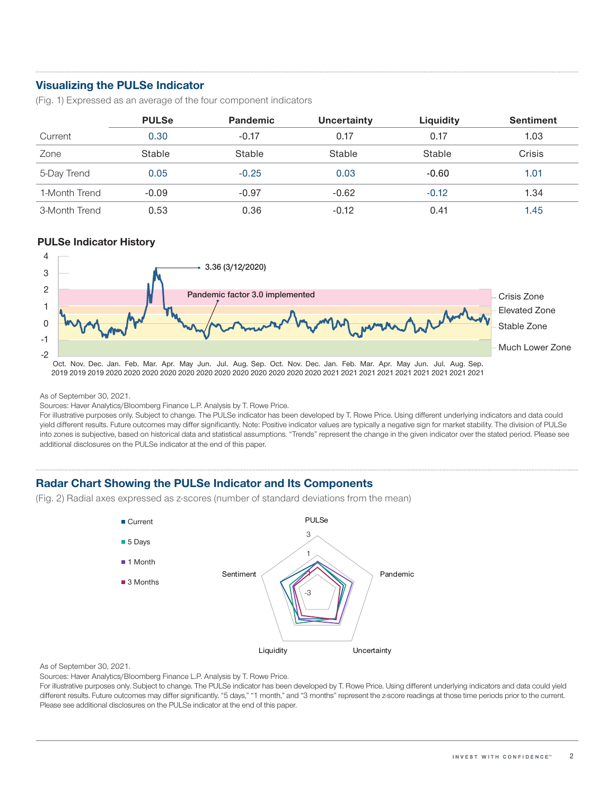## **Visualizing the PULSe Indicator**

(Fig. 1) Expressed as an average of the four component indicators

|               | <b>PULSe</b> | <b>Pandemic</b> | Uncertainty | Liquidity | <b>Sentiment</b> |
|---------------|--------------|-----------------|-------------|-----------|------------------|
| Current       | 0.30         | $-0.17$         | 0.17        | 0.17      | 1.03             |
| Zone          | Stable       | Stable          | Stable      | Stable    | <b>Crisis</b>    |
| 5-Day Trend   | 0.05         | $-0.25$         | 0.03        | $-0.60$   | 1.01             |
| 1-Month Trend | $-0.09$      | $-0.97$         | $-0.62$     | $-0.12$   | 1.34             |
| 3-Month Trend | 0.53         | 0.36            | $-0.12$     | 0.41      | 1.45             |

#### **PULSe Indicator History**



As of September 30, 2021.

Sources: Haver Analytics/Bloomberg Finance L.P. Analysis by T. Rowe Price.

For illustrative purposes only. Subject to change. The PULSe indicator has been developed by T. Rowe Price. Using different underlying indicators and data could yield different results. Future outcomes may differ significantly. Note: Positive indicator values are typically a negative sign for market stability. The division of PULSe into zones is subjective, based on historical data and statistical assumptions. "Trends" represent the change in the given indicator over the stated period. Please see additional disclosures on the PULSe indicator at the end of this paper.

### **Radar Chart Showing the PULSe Indicator and Its Components**

(Fig. 2) Radial axes expressed as z‑scores (number of standard deviations from the mean)



As of September 30, 2021.

Sources: Haver Analytics/Bloomberg Finance L.P. Analysis by T. Rowe Price.

For illustrative purposes only. Subject to change. The PULSe indicator has been developed by T. Rowe Price. Using different underlying indicators and data could yield different results. Future outcomes may differ significantly. "5 days," "1 month," and "3 months" represent the z‑score readings at those time periods prior to the current. Please see additional disclosures on the PULSe indicator at the end of this paper.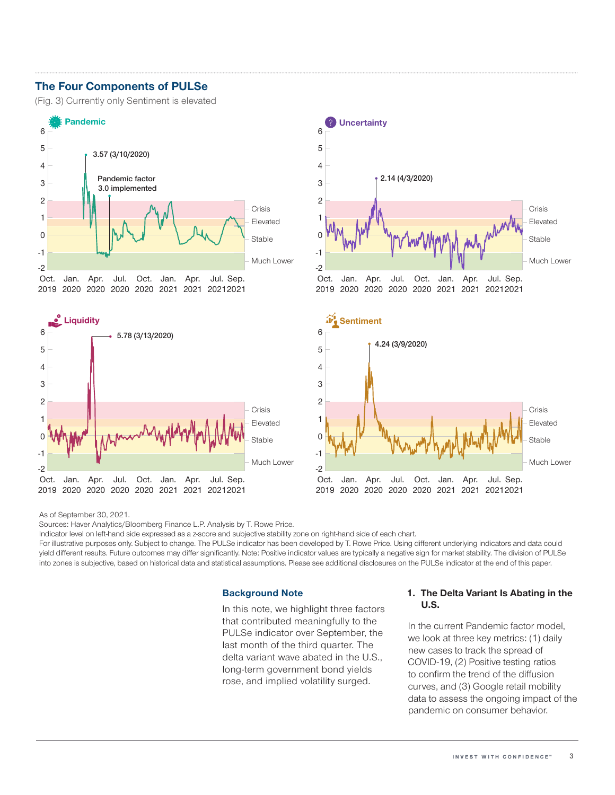### **The Four Components of PULSe**

(Fig. 3) Currently only Sentiment is elevated









As of September 30, 2021.

Sources: Haver Analytics/Bloomberg Finance L.P. Analysis by T. Rowe Price.

Indicator level on left-hand side expressed as a z-score and subjective stability zone on right-hand side of each chart.

For illustrative purposes only. Subject to change. The PULSe indicator has been developed by T. Rowe Price. Using different underlying indicators and data could yield different results. Future outcomes may differ significantly. Note: Positive indicator values are typically a negative sign for market stability. The division of PULSe into zones is subjective, based on historical data and statistical assumptions. Please see additional disclosures on the PULSe indicator at the end of this paper.

#### **Background Note**

In this note, we highlight three factors that contributed meaningfully to the PULSe indicator over September, the last month of the third quarter. The delta variant wave abated in the U.S., long‑term government bond yields rose, and implied volatility surged.

#### **1. The Delta Variant Is Abating in the U.S.**

In the current Pandemic factor model, we look at three key metrics: (1) daily new cases to track the spread of COVID-19, (2) Positive testing ratios to confirm the trend of the diffusion curves, and (3) Google retail mobility data to assess the ongoing impact of the pandemic on consumer behavior.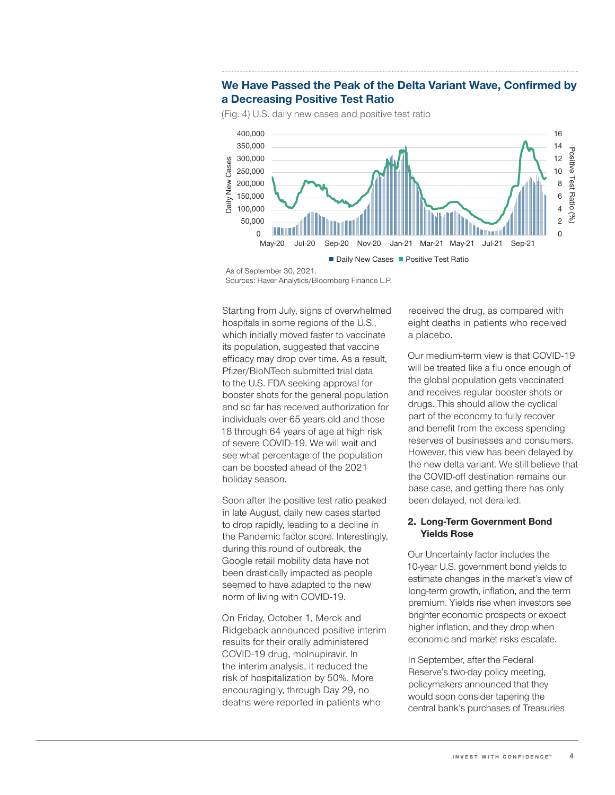

Daily New Cases Positive Test Ratio

**We Have Passed the Peak of the Delta Variant Wave, Confirmed by a Decreasing Positive Test Ratio**

(Fig. 4) U.S. daily new cases and positive test ratio

Starting from July, signs of overwhelmed hospitals in some regions of the U.S., which initially moved faster to vaccinate its population, suggested that vaccine efficacy may drop over time. As a result, Pfizer/BioNTech submitted trial data to the U.S. FDA seeking approval for booster shots for the general population and so far has received authorization for individuals over 65 years old and those 18 through 64 years of age at high risk of severe COVID‑19. We will wait and see what percentage of the population can be boosted ahead of the 2021 holiday season.

Soon after the positive test ratio peaked in late August, daily new cases started to drop rapidly, leading to a decline in the Pandemic factor score. Interestingly, during this round of outbreak, the Google retail mobility data have not been drastically impacted as people seemed to have adapted to the new norm of living with COVID-19.

On Friday, October 1, Merck and Ridgeback announced positive interim results for their orally administered COVID‑19 drug, molnupiravir. In the interim analysis, it reduced the risk of hospitalization by 50%. More encouragingly, through Day 29, no deaths were reported in patients who

received the drug, as compared with eight deaths in patients who received a placebo.

Our medium‑term view is that COVID‑19 will be treated like a flu once enough of the global population gets vaccinated and receives regular booster shots or drugs. This should allow the cyclical part of the economy to fully recover and benefit from the excess spending reserves of businesses and consumers. However, this view has been delayed by the new delta variant. We still believe that the COVID‑off destination remains our base case, and getting there has only been delayed, not derailed.

#### **2. Long-Term Government Bond Yields Rose**

Our Uncertainty factor includes the 10‑year U.S. government bond yields to estimate changes in the market's view of long‑term growth, inflation, and the term premium. Yields rise when investors see brighter economic prospects or expect higher inflation, and they drop when economic and market risks escalate.

In September, after the Federal Reserve's two‑day policy meeting, policymakers announced that they would soon consider tapering the central bank's purchases of Treasuries

As of September 30, 2021. Sources: Haver Analytics/Bloomberg Finance L.P.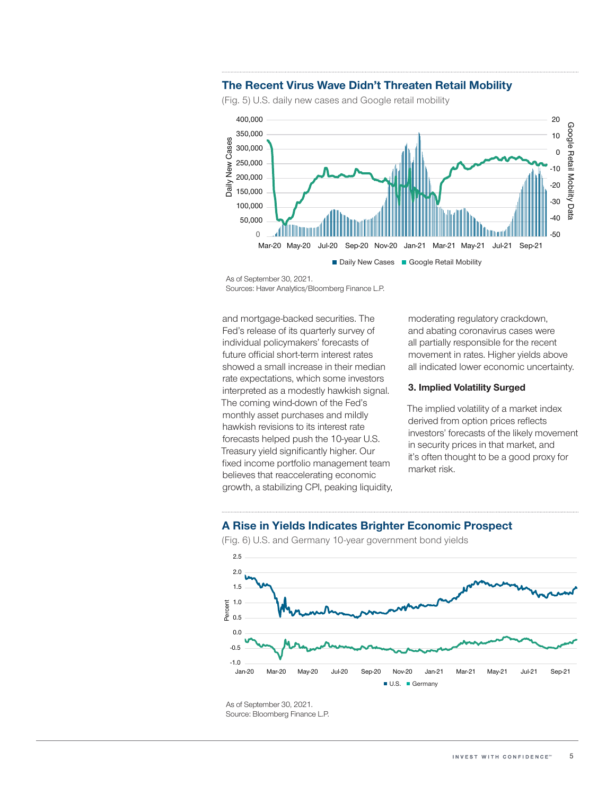#### **The Recent Virus Wave Didn't Threaten Retail Mobility**

(Fig. 5) U.S. daily new cases and Google retail mobility



As of September 30, 2021.

Sources: Haver Analytics/Bloomberg Finance L.P.

and mortgage‑backed securities. The Fed's release of its quarterly survey of individual policymakers' forecasts of future official short-term interest rates showed a small increase in their median rate expectations, which some investors interpreted as a modestly hawkish signal. The coming wind‑down of the Fed's monthly asset purchases and mildly hawkish revisions to its interest rate forecasts helped push the 10-year U.S. Treasury yield significantly higher. Our fixed income portfolio management team believes that reaccelerating economic growth, a stabilizing CPI, peaking liquidity, moderating regulatory crackdown, and abating coronavirus cases were all partially responsible for the recent movement in rates. Higher yields above all indicated lower economic uncertainty.

#### **3. Implied Volatility Surged**

The implied volatility of a market index derived from option prices reflects investors' forecasts of the likely movement in security prices in that market, and it's often thought to be a good proxy for market risk.

#### **A Rise in Yields Indicates Brighter Economic Prospect**



(Fig. 6) U.S. and Germany 10-year government bond yields

As of September 30, 2021. Source: Bloomberg Finance L.P.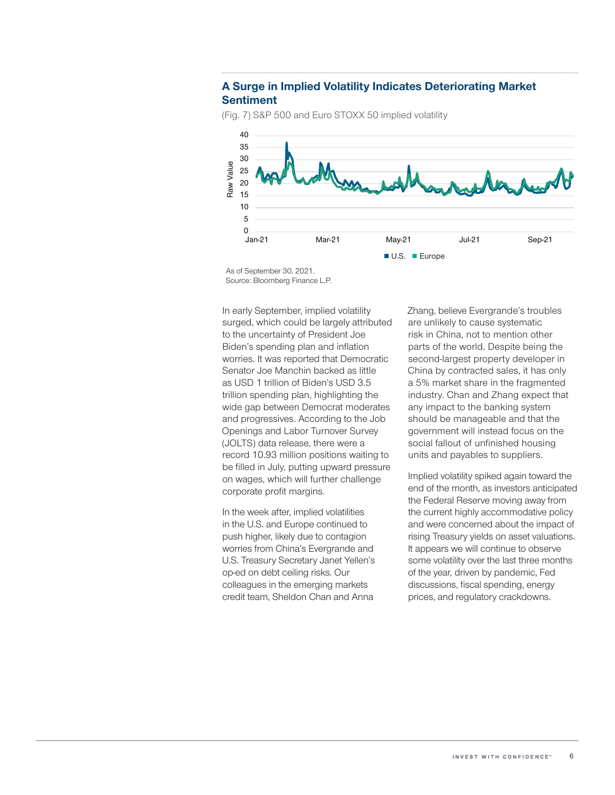#### **A Surge in Implied Volatility Indicates Deteriorating Market Sentiment**



(Fig. 7) S&P 500 and Euro STOXX 50 implied volatility

As of September 30, 2021. Source: Bloomberg Finance L.P.

In early September, implied volatility surged, which could be largely attributed to the uncertainty of President Joe Biden's spending plan and inflation worries. It was reported that Democratic Senator Joe Manchin backed as little as USD 1 trillion of Biden's USD 3.5 trillion spending plan, highlighting the wide gap between Democrat moderates and progressives. According to the Job Openings and Labor Turnover Survey (JOLTS) data release, there were a record 10.93 million positions waiting to be filled in July, putting upward pressure on wages, which will further challenge corporate profit margins.

In the week after, implied volatilities in the U.S. and Europe continued to push higher, likely due to contagion worries from China's Evergrande and U.S. Treasury Secretary Janet Yellen's op‑ed on debt ceiling risks. Our colleagues in the emerging markets credit team, Sheldon Chan and Anna

Zhang, believe Evergrande's troubles are unlikely to cause systematic risk in China, not to mention other parts of the world. Despite being the second-largest property developer in China by contracted sales, it has only a 5% market share in the fragmented industry. Chan and Zhang expect that any impact to the banking system should be manageable and that the government will instead focus on the social fallout of unfinished housing units and payables to suppliers.

Implied volatility spiked again toward the end of the month, as investors anticipated the Federal Reserve moving away from the current highly accommodative policy and were concerned about the impact of rising Treasury yields on asset valuations. It appears we will continue to observe some volatility over the last three months of the year, driven by pandemic, Fed discussions, fiscal spending, energy prices, and regulatory crackdowns.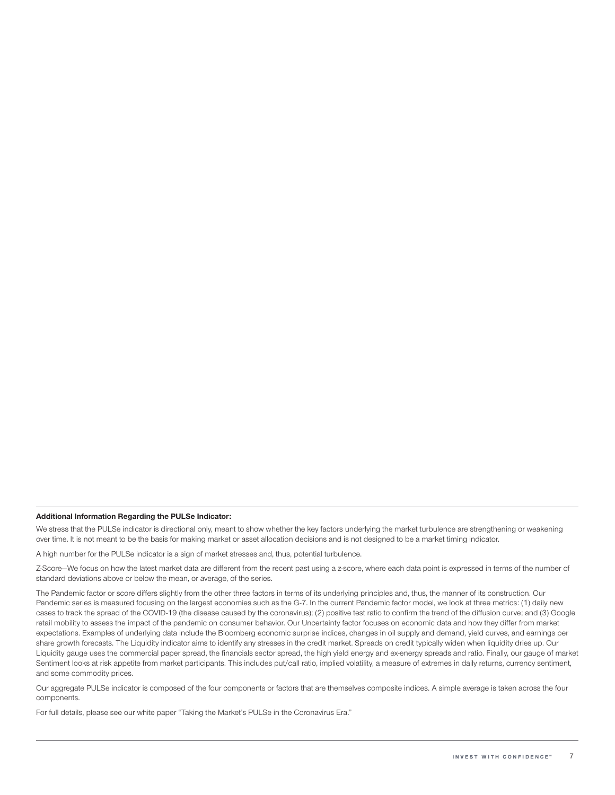#### **Additional Information Regarding the PULSe Indicator:**

We stress that the PULSe indicator is directional only, meant to show whether the key factors underlying the market turbulence are strengthening or weakening over time. It is not meant to be the basis for making market or asset allocation decisions and is not designed to be a market timing indicator.

A high number for the PULSe indicator is a sign of market stresses and, thus, potential turbulence.

Z‑Score—We focus on how the latest market data are different from the recent past using a z‑score, where each data point is expressed in terms of the number of standard deviations above or below the mean, or average, of the series.

The Pandemic factor or score differs slightly from the other three factors in terms of its underlying principles and, thus, the manner of its construction. Our Pandemic series is measured focusing on the largest economies such as the G-7. In the current Pandemic factor model, we look at three metrics: (1) daily new cases to track the spread of the COVID-19 (the disease caused by the coronavirus); (2) positive test ratio to confirm the trend of the diffusion curve; and (3) Google retail mobility to assess the impact of the pandemic on consumer behavior. Our Uncertainty factor focuses on economic data and how they differ from market expectations. Examples of underlying data include the Bloomberg economic surprise indices, changes in oil supply and demand, yield curves, and earnings per share growth forecasts. The Liquidity indicator aims to identify any stresses in the credit market. Spreads on credit typically widen when liquidity dries up. Our Liquidity gauge uses the commercial paper spread, the financials sector spread, the high yield energy and ex-energy spreads and ratio. Finally, our gauge of market Sentiment looks at risk appetite from market participants. This includes put/call ratio, implied volatility, a measure of extremes in daily returns, currency sentiment, and some commodity prices.

Our aggregate PULSe indicator is composed of the four components or factors that are themselves composite indices. A simple average is taken across the four components.

For full details, please see our white paper "Taking the Market's PULSe in the Coronavirus Era."